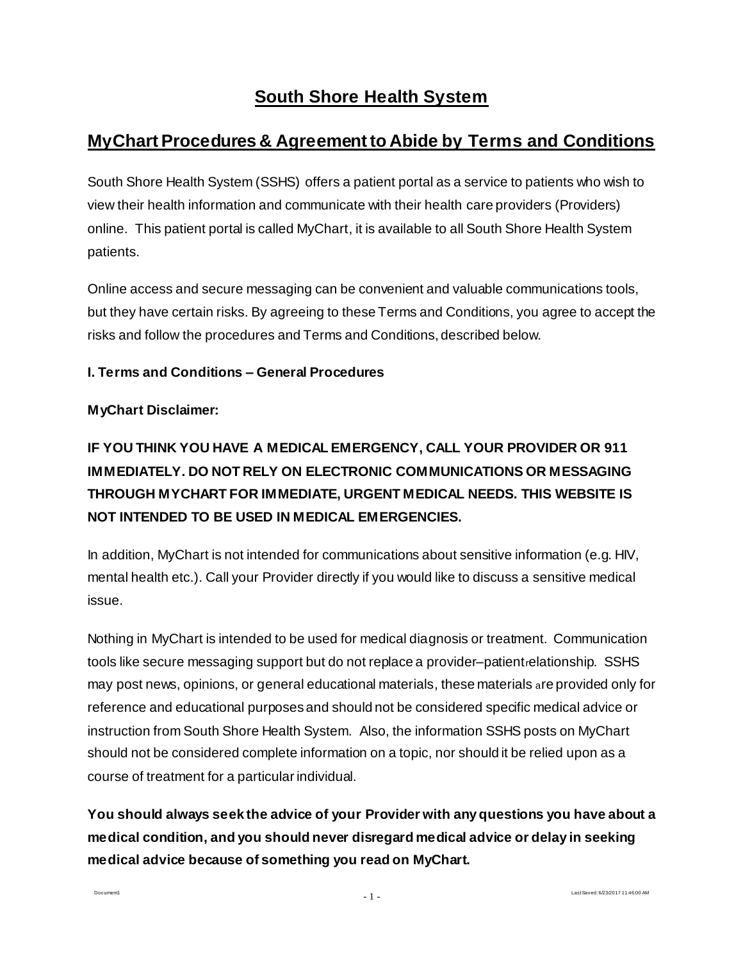# **South Shore Health System**

## **MyChart Procedures & Agreement to Abide by Terms and Conditions**

South Shore Health System (SSHS) offers a patient portal as a service to patients who wish to view their health information and communicate with their health care providers (Providers) online. This patient portal is called MyChart, it is available to all South Shore Health System patients.

Online access and secure messaging can be convenient and valuable communications tools, but they have certain risks. By agreeing to these Terms and Conditions, you agree to accept the risks and follow the procedures and Terms and Conditions, described below.

#### **I. Terms and Conditions – General Procedures**

#### **MyChart Disclaimer:**

# **IF YOU THINK YOU HAVE A MEDICAL EMERGENCY, CALL YOUR PROVIDER OR 911 IMMEDIATELY. DO NOT RELY ON ELECTRONIC COMMUNICATIONS OR MESSAGING THROUGH MYCHART FOR IMMEDIATE, URGENT MEDICAL NEEDS. THIS WEBSITE IS NOT INTENDED TO BE USED IN MEDICAL EMERGENCIES.**

In addition, MyChart is not intended for communications about sensitive information (e.g. HIV, mental health etc.). Call your Provider directly if you would like to discuss a sensitive medical issue.

Nothing in MyChart is intended to be used for medical diagnosis or treatment. Communication tools like secure messaging support but do not replace a provider–patientrelationship. SSHS may post news, opinions, or general educational materials, these materials are provided only for reference and educational purposes and should not be considered specific medical advice or instruction from South Shore Health System. Also, the information SSHS posts on MyChart should not be considered complete information on a topic, nor should it be relied upon as a course of treatment for a particular individual.

**You should always seek the advice of your Provider with any questions you have about a medical condition, and you should never disregard medical advice or delay in seeking medical advice because of something you read on MyChart.** 

Document1

Last Saved: 6/23/2017 11:46:00 AM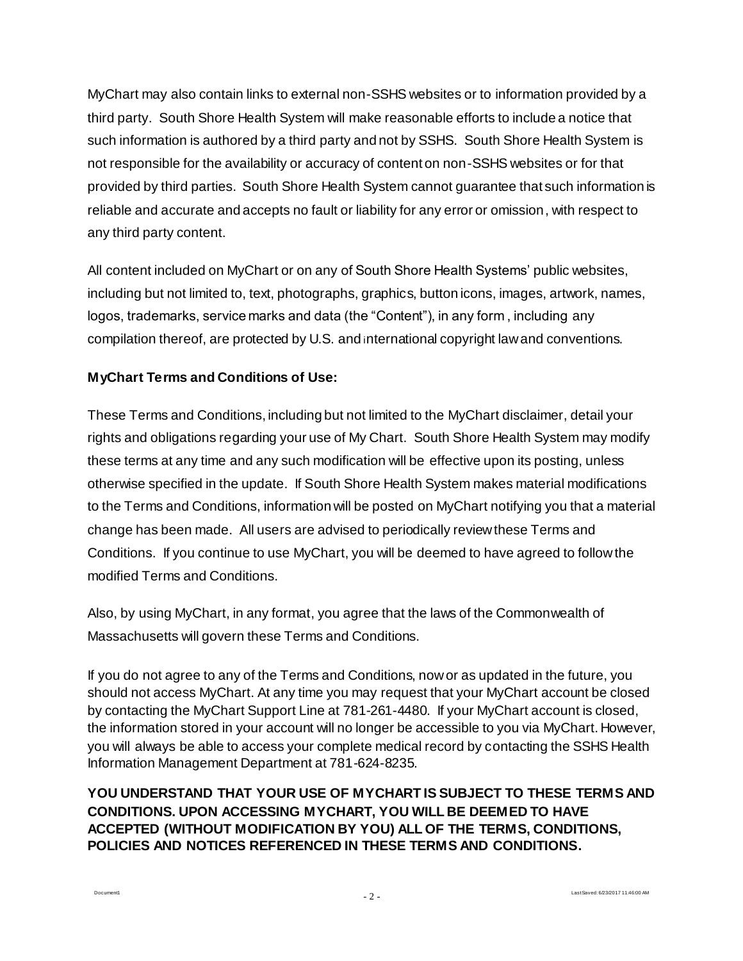MyChart may also contain links to external non-SSHS websites or to information provided by a third party. South Shore Health System will make reasonable efforts to include a notice that such information is authored by a third party and not by SSHS. South Shore Health System is not responsible for the availability or accuracy of content on non-SSHS websites or for that provided by third parties. South Shore Health System cannot guarantee that such information is reliable and accurate and accepts no fault or liability for any error or omission, with respect to any third party content.

All content included on MyChart or on any of South Shore Health Systems' public websites, including but not limited to, text, photographs, graphics, button icons, images, artwork, names, logos, trademarks, service marks and data (the "Content"), in any form , including any compilation thereof, are protected by U.S. and international copyright law and conventions.

## **MyChart Terms and Conditions of Use:**

Document1

These Terms and Conditions, including but not limited to the MyChart disclaimer, detail your rights and obligations regarding your use of My Chart. South Shore Health System may modify these terms at any time and any such modification will be effective upon its posting, unless otherwise specified in the update. If South Shore Health System makes material modifications to the Terms and Conditions, information will be posted on MyChart notifying you that a material change has been made. All users are advised to periodically review these Terms and Conditions. If you continue to use MyChart, you will be deemed to have agreed to follow the modified Terms and Conditions.

Also, by using MyChart, in any format, you agree that the laws of the Commonwealth of Massachusetts will govern these Terms and Conditions.

If you do not agree to any of the Terms and Conditions, now or as updated in the future, you should not access MyChart. At any time you may request that your MyChart account be closed by contacting the MyChart Support Line at 781-261-4480. If your MyChart account is closed, the information stored in your account will no longer be accessible to you via MyChart. However, you will always be able to access your complete medical record by contacting the SSHS Health Information Management Department at 781-624-8235.

**YOU UNDERSTAND THAT YOUR USE OF MYCHART IS SUBJECT TO THESE TERMS AND CONDITIONS. UPON ACCESSING MYCHART, YOU WILL BE DEEMED TO HAVE ACCEPTED (WITHOUT MODIFICATION BY YOU) ALL OF THE TERMS, CONDITIONS, POLICIES AND NOTICES REFERENCED IN THESE TERMS AND CONDITIONS.**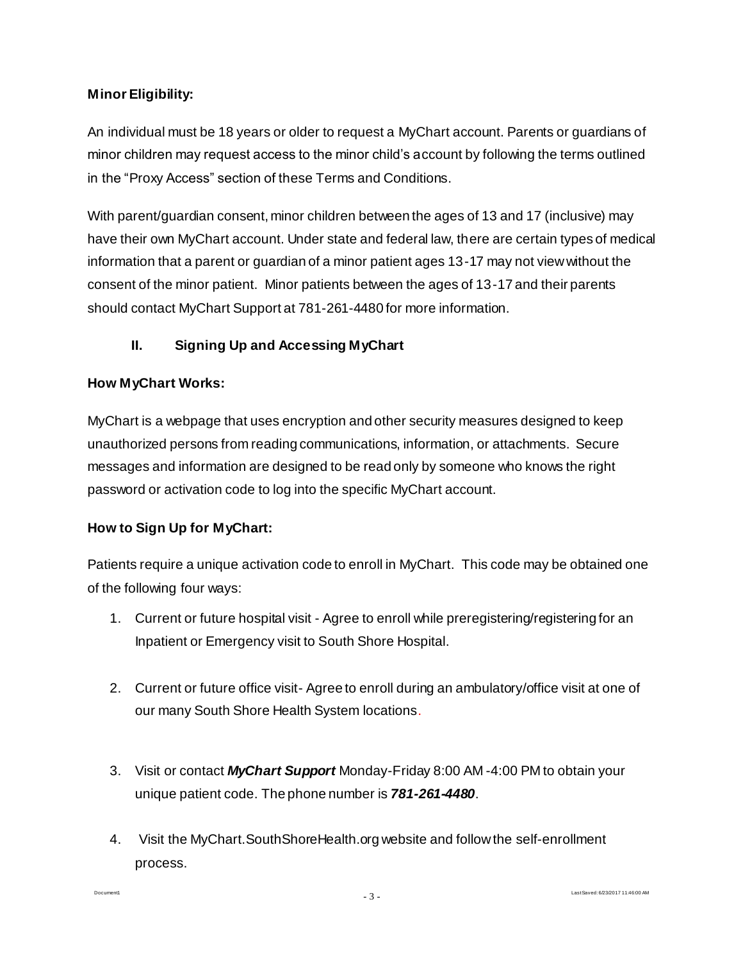## **Minor Eligibility:**

An individual must be 18 years or older to request a MyChart account. Parents or guardians of minor children may request access to the minor child's account by following the terms outlined in the "Proxy Access" section of these Terms and Conditions.

With parent/guardian consent, minor children between the ages of 13 and 17 (inclusive) may have their own MyChart account. Under state and federal law, there are certain types of medical information that a parent or guardian of a minor patient ages 13-17 may not view without the consent of the minor patient. Minor patients between the ages of 13-17 and their parents should contact MyChart Support at 781-261-4480 for more information.

## **II. Signing Up and Accessing MyChart**

#### **How MyChart Works:**

MyChart is a webpage that uses encryption and other security measures designed to keep unauthorized persons from reading communications, information, or attachments. Secure messages and information are designed to be read only by someone who knows the right password or activation code to log into the specific MyChart account.

## **How to Sign Up for MyChart:**

Document1

Patients require a unique activation code to enroll in MyChart. This code may be obtained one of the following four ways:

- 1. Current or future hospital visit Agree to enroll while preregistering/registering for an Inpatient or Emergency visit to South Shore Hospital.
- 2. Current or future office visit- Agree to enroll during an ambulatory/office visit at one of our many South Shore Health System locations.
- 3. Visit or contact *MyChart Support* Monday-Friday 8:00 AM -4:00 PM to obtain your unique patient code. The phone number is *781-261-4480*.
- 4. Visit the MyChart.SouthShoreHealth.org website and follow the self-enrollment process.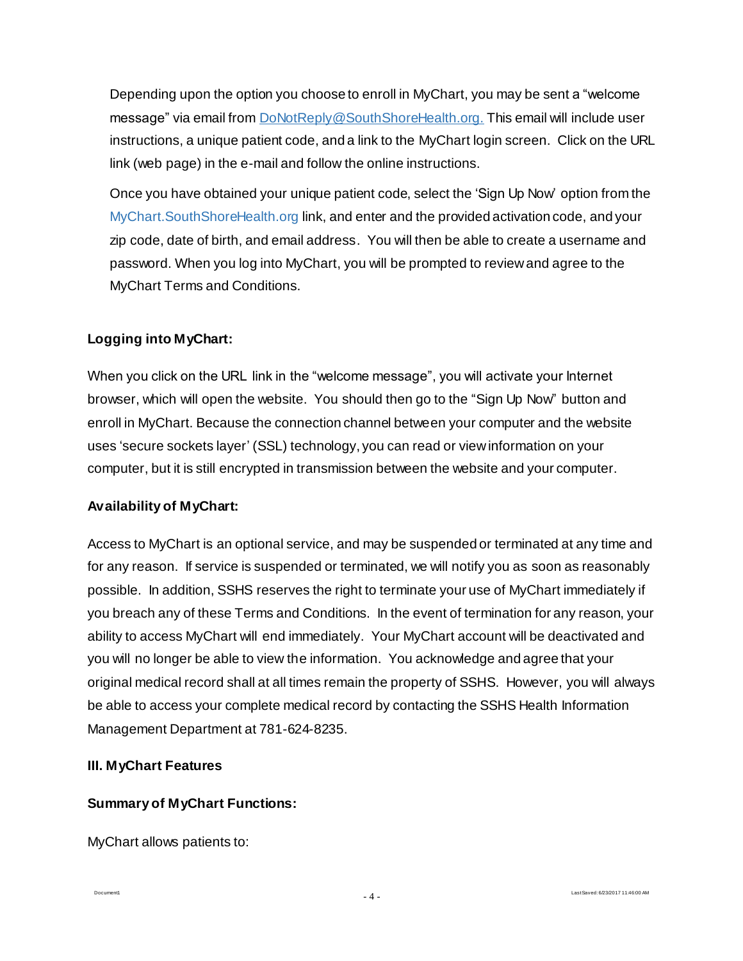Depending upon the option you choose to enroll in MyChart, you may be sent a "welcome message" via email from DoNotRepl[y@SouthShoreHealth.org](mailto:MyChart@southshorehealth.org). This email will include user instructions, a unique patient code, and a link to the MyChart login screen. Click on the URL link (web page) in the e-mail and follow the online instructions.

Once you have obtained your unique patient code, select the 'Sign Up Now' option from the MyChart.SouthShoreHealth.org link, and enter and the provided activation code, and your zip code, date of birth, and email address. You will then be able to create a username and password. When you log into MyChart, you will be prompted to review and agree to the MyChart Terms and Conditions.

## **Logging into MyChart:**

When you click on the URL link in the "welcome message", you will activate your Internet browser, which will open the website. You should then go to the "Sign Up Now" button and enroll in MyChart. Because the connection channel between your computer and the website uses 'secure sockets layer' (SSL) technology, you can read or view information on your computer, but it is still encrypted in transmission between the website and your computer.

#### **Availability of MyChart:**

Access to MyChart is an optional service, and may be suspended or terminated at any time and for any reason. If service is suspended or terminated, we will notify you as soon as reasonably possible. In addition, SSHS reserves the right to terminate your use of MyChart immediately if you breach any of these Terms and Conditions. In the event of termination for any reason, your ability to access MyChart will end immediately. Your MyChart account will be deactivated and you will no longer be able to view the information. You acknowledge and agree that your original medical record shall at all times remain the property of SSHS. However, you will always be able to access your complete medical record by contacting the SSHS Health Information Management Department at 781-624-8235.

#### **III. MyChart Features**

#### **Summary of MyChart Functions:**

MyChart allows patients to:

Document1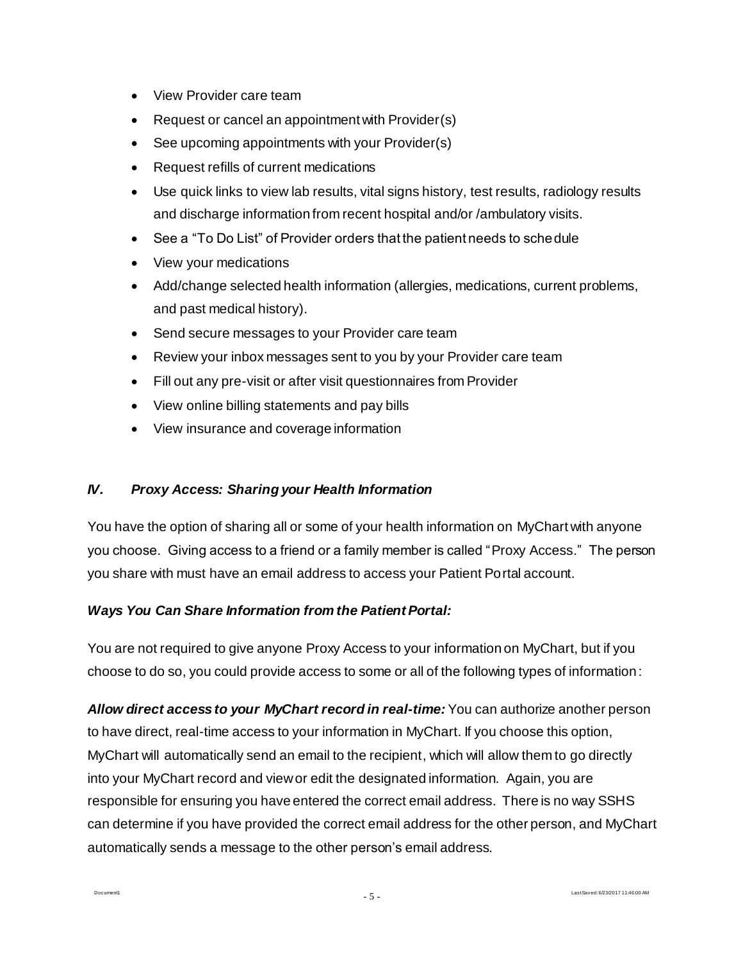- View Provider care team
- Request or cancel an appointment with Provider(s)
- See upcoming appointments with your Provider(s)
- Request refills of current medications
- Use quick links to view lab results, vital signs history, test results, radiology results and discharge information from recent hospital and/or /ambulatory visits.
- See a "To Do List" of Provider orders that the patient needs to schedule
- View your medications
- Add/change selected health information (allergies, medications, current problems, and past medical history).
- Send secure messages to your Provider care team
- Review your inbox messages sent to you by your Provider care team
- Fill out any pre-visit or after visit questionnaires from Provider
- View online billing statements and pay bills
- View insurance and coverage information

#### *IV. Proxy Access: Sharing your Health Information*

You have the option of sharing all or some of your health information on MyChart with anyone you choose. Giving access to a friend or a family member is called "Proxy Access." The person you share with must have an email address to access your Patient Portal account.

#### *Ways You Can Share Information from the Patient Portal:*

Document1

You are not required to give anyone Proxy Access to your information on MyChart, but if you choose to do so, you could provide access to some or all of the following types of information:

*Allow direct access to your MyChart record in real-time:* You can authorize another person to have direct, real-time access to your information in MyChart. If you choose this option, MyChart will automatically send an email to the recipient, which will allow them to go directly into your MyChart record and view or edit the designated information. Again, you are responsible for ensuring you have entered the correct email address. There is no way SSHS can determine if you have provided the correct email address for the other person, and MyChart automatically sends a message to the other person's email address.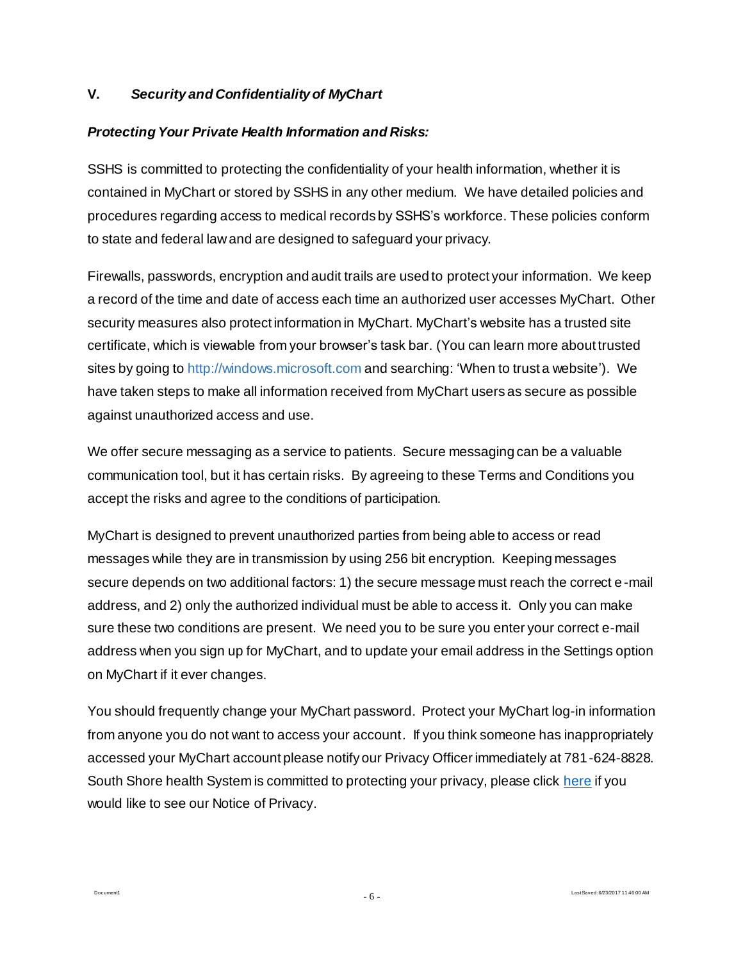#### **V.** *Security and Confidentiality of MyChart*

#### *Protecting Your Private Health Information and Risks:*

SSHS is committed to protecting the confidentiality of your health information, whether it is contained in MyChart or stored by SSHS in any other medium. We have detailed policies and procedures regarding access to medical records by SSHS's workforce. These policies conform to state and federal law and are designed to safeguard your privacy.

Firewalls, passwords, encryption and audit trails are used to protect your information. We keep a record of the time and date of access each time an authorized user accesses MyChart. Other security measures also protect information in MyChart. MyChart's website has a trusted site certificate, which is viewable from your browser's task bar. (You can learn more about trusted sites by going to [http://windows.microsoft.com](http://windows.microsoft.com/) and searching: 'When to trust a website'). We have taken steps to make all information received from MyChart users as secure as possible against unauthorized access and use.

We offer secure messaging as a service to patients. Secure messaging can be a valuable communication tool, but it has certain risks. By agreeing to these Terms and Conditions you accept the risks and agree to the conditions of participation.

MyChart is designed to prevent unauthorized parties from being able to access or read messages while they are in transmission by using 256 bit encryption. Keeping messages secure depends on two additional factors: 1) the secure message must reach the correct e-mail address, and 2) only the authorized individual must be able to access it. Only you can make sure these two conditions are present. We need you to be sure you enter your correct e-mail address when you sign up for MyChart, and to update your email address in the Settings option on MyChart if it ever changes.

You should frequently change your MyChart password. Protect your MyChart log-in information from anyone you do not want to access your account. If you think someone has inappropriately accessed your MyChart account please notify our Privacy Officer immediately at 781-624-8828. South Shore health System is committed to protecting your privacy, please clic[k here](http://www.southshorehealth.org/notice-of-privacy-practices) if you would like to see our Notice of Privacy.

Document1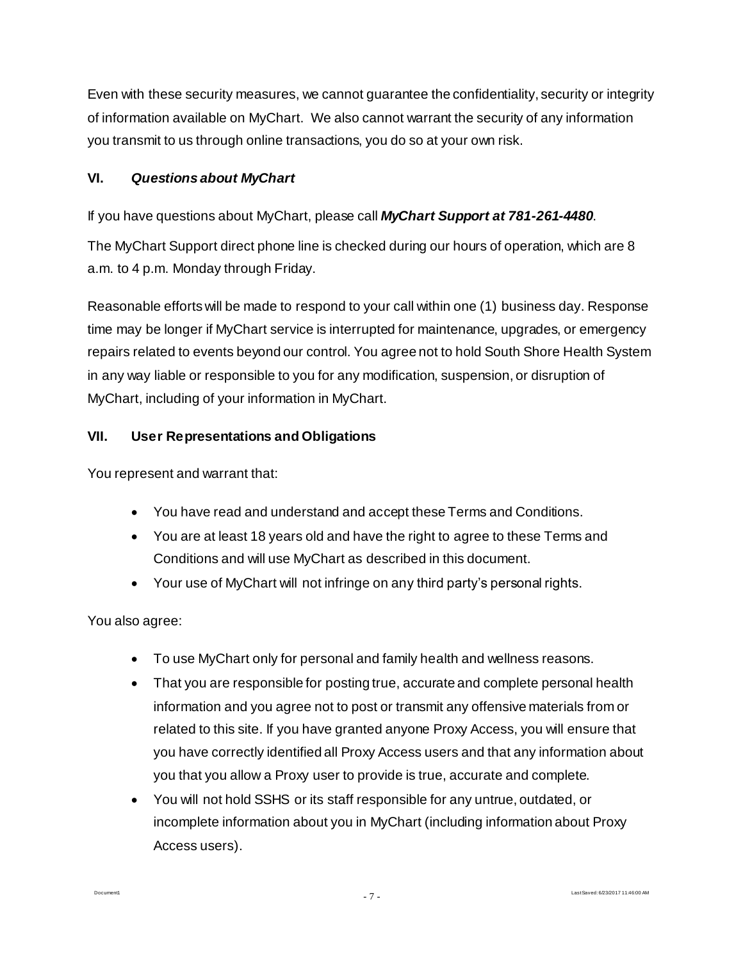Even with these security measures, we cannot guarantee the confidentiality, security or integrity of information available on MyChart. We also cannot warrant the security of any information you transmit to us through online transactions, you do so at your own risk.

## **VI.** *Questions about MyChart*

## If you have questions about MyChart, please call *MyChart Support at 781-261-4480*.

The MyChart Support direct phone line is checked during our hours of operation, which are 8 a.m. to 4 p.m. Monday through Friday.

Reasonable efforts will be made to respond to your call within one (1) business day. Response time may be longer if MyChart service is interrupted for maintenance, upgrades, or emergency repairs related to events beyond our control. You agree not to hold South Shore Health System in any way liable or responsible to you for any modification, suspension, or disruption of MyChart, including of your information in MyChart.

## **VII. User Representations and Obligations**

You represent and warrant that:

- You have read and understand and accept these Terms and Conditions.
- You are at least 18 years old and have the right to agree to these Terms and Conditions and will use MyChart as described in this document.
- Your use of MyChart will not infringe on any third party's personal rights.

You also agree:

Document1

- To use MyChart only for personal and family health and wellness reasons.
- That you are responsible for posting true, accurate and complete personal health information and you agree not to post or transmit any offensive materials from or related to this site. If you have granted anyone Proxy Access, you will ensure that you have correctly identified all Proxy Access users and that any information about you that you allow a Proxy user to provide is true, accurate and complete.
- You will not hold SSHS or its staff responsible for any untrue, outdated, or incomplete information about you in MyChart (including information about Proxy Access users).